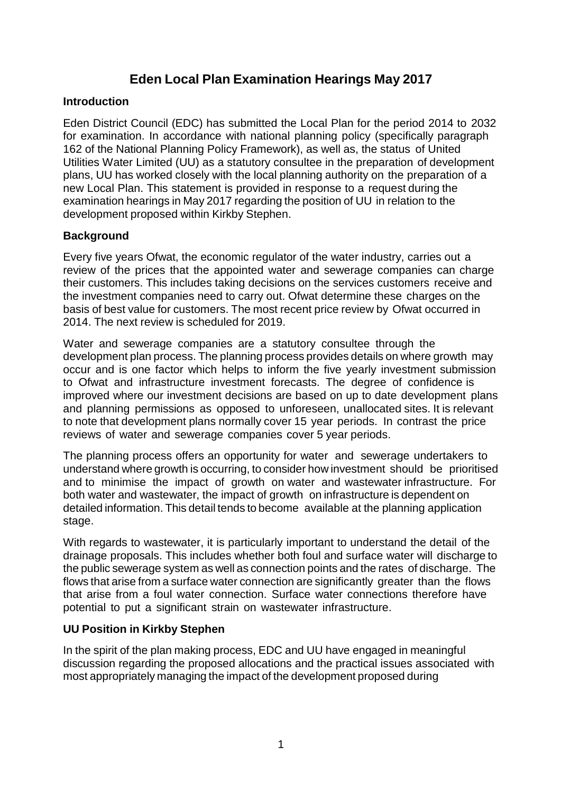## **Eden Local Plan Examination Hearings May 2017**

## **Introduction**

Eden District Council (EDC) has submitted the Local Plan for the period 2014 to 2032 for examination. In accordance with national planning policy (specifically paragraph 162 of the National Planning Policy Framework), as well as, the status of United Utilities Water Limited (UU) as a statutory consultee in the preparation of development plans, UU has worked closely with the local planning authority on the preparation of a new Local Plan. This statement is provided in response to a request during the examination hearings in May 2017 regarding the position of UU in relation to the development proposed within Kirkby Stephen.

## **Background**

Every five years Ofwat, the economic regulator of the water industry, carries out a review of the prices that the appointed water and sewerage companies can charge their customers. This includes taking decisions on the services customers receive and the investment companies need to carry out. Ofwat determine these charges on the basis of best value for customers. The most recent price review by Ofwat occurred in 2014. The next review is scheduled for 2019.

Water and sewerage companies are a statutory consultee through the development plan process. The planning process provides details on where growth may occur and is one factor which helps to inform the five yearly investment submission to Ofwat and infrastructure investment forecasts. The degree of confidence is improved where our investment decisions are based on up to date development plans and planning permissions as opposed to unforeseen, unallocated sites. It is relevant to note that development plans normally cover 15 year periods. In contrast the price reviews of water and sewerage companies cover 5 year periods.

The planning process offers an opportunity for water and sewerage undertakers to understand where growth is occurring, to consider how investment should be prioritised and to minimise the impact of growth on water and wastewater infrastructure. For both water and wastewater, the impact of growth on infrastructure is dependent on detailed information. This detail tends to become available at the planning application stage.

With regards to wastewater, it is particularly important to understand the detail of the drainage proposals. This includes whether both foul and surface water will discharge to the public sewerage system as well as connection points and the rates of discharge. The flows that arise from a surface water connection are significantly greater than the flows that arise from a foul water connection. Surface water connections therefore have potential to put a significant strain on wastewater infrastructure.

## **UU Position in Kirkby Stephen**

In the spirit of the plan making process, EDC and UU have engaged in meaningful discussion regarding the proposed allocations and the practical issues associated with most appropriately managing the impact of the development proposed during